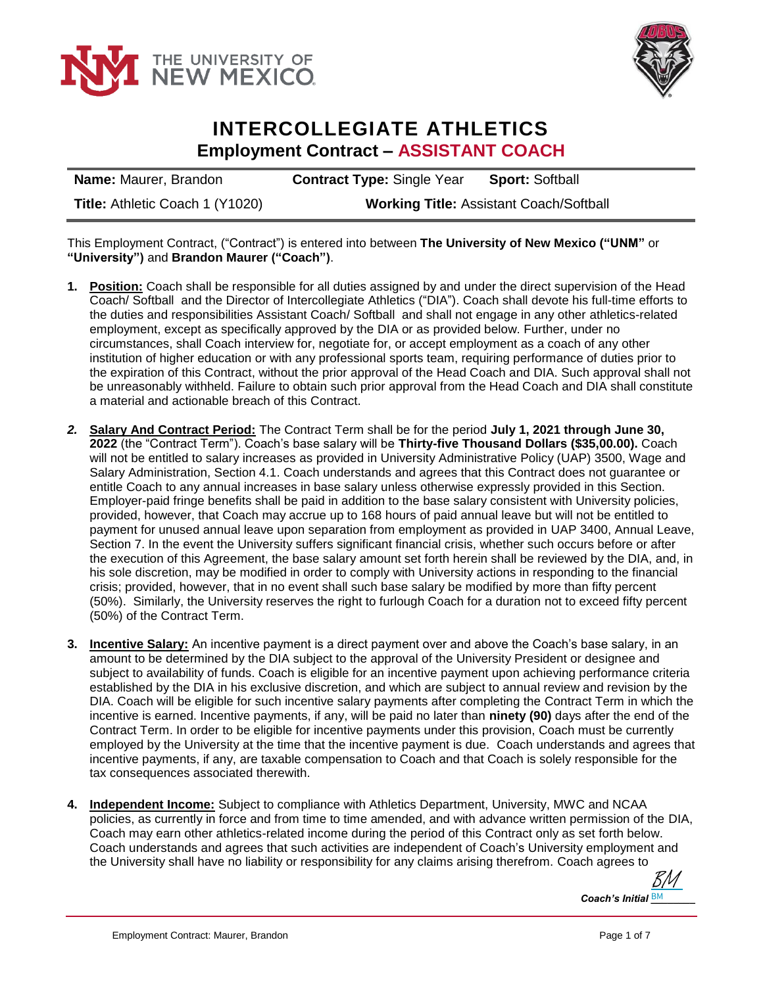



## **INTERCOLLEGIATE ATHLETICS Employment Contract – ASSISTANT COACH**

| <b>Name:</b> Maurer, Brandon    | <b>Contract Type: Single Year</b><br><b>Sport: Softball</b> |  |
|---------------------------------|-------------------------------------------------------------|--|
| Title: Athletic Coach 1 (Y1020) | <b>Working Title: Assistant Coach/Softball</b>              |  |

This Employment Contract, ("Contract") is entered into between **The University of New Mexico ("UNM"** or **"University")** and **Brandon Maurer ("Coach")**.

- **1. Position:** Coach shall be responsible for all duties assigned by and under the direct supervision of the Head Coach/ Softball and the Director of Intercollegiate Athletics ("DIA"). Coach shall devote his full-time efforts to the duties and responsibilities Assistant Coach/ Softball and shall not engage in any other athletics-related employment, except as specifically approved by the DIA or as provided below. Further, under no circumstances, shall Coach interview for, negotiate for, or accept employment as a coach of any other institution of higher education or with any professional sports team, requiring performance of duties prior to the expiration of this Contract, without the prior approval of the Head Coach and DIA. Such approval shall not be unreasonably withheld. Failure to obtain such prior approval from the Head Coach and DIA shall constitute a material and actionable breach of this Contract.
- *2.* **Salary And Contract Period:** The Contract Term shall be for the period **July 1, 2021 through June 30, 2022** (the "Contract Term"). Coach's base salary will be **Thirty-five Thousand Dollars (\$35,00.00).** Coach will not be entitled to salary increases as provided in University Administrative Policy (UAP) 3500, Wage and Salary Administration, Section 4.1. Coach understands and agrees that this Contract does not guarantee or entitle Coach to any annual increases in base salary unless otherwise expressly provided in this Section. Employer-paid fringe benefits shall be paid in addition to the base salary consistent with University policies, provided, however, that Coach may accrue up to 168 hours of paid annual leave but will not be entitled to payment for unused annual leave upon separation from employment as provided in UAP 3400, Annual Leave, Section 7. In the event the University suffers significant financial crisis, whether such occurs before or after the execution of this Agreement, the base salary amount set forth herein shall be reviewed by the DIA, and, in his sole discretion, may be modified in order to comply with University actions in responding to the financial crisis; provided, however, that in no event shall such base salary be modified by more than fifty percent (50%). Similarly, the University reserves the right to furlough Coach for a duration not to exceed fifty percent (50%) of the Contract Term.
- **3. Incentive Salary:** An incentive payment is a direct payment over and above the Coach's base salary, in an amount to be determined by the DIA subject to the approval of the University President or designee and subject to availability of funds. Coach is eligible for an incentive payment upon achieving performance criteria established by the DIA in his exclusive discretion, and which are subject to annual review and revision by the DIA. Coach will be eligible for such incentive salary payments after completing the Contract Term in which the incentive is earned. Incentive payments, if any, will be paid no later than **ninety (90)** days after the end of the Contract Term. In order to be eligible for incentive payments under this provision, Coach must be currently employed by the University at the time that the incentive payment is due. Coach understands and agrees that incentive payments, if any, are taxable compensation to Coach and that Coach is solely responsible for the tax consequences associated therewith.
- **4. Independent Income:** Subject to compliance with Athletics Department, University, MWC and NCAA policies, as currently in force and from time to time amended, and with advance written permission of the DIA, Coach may earn other athletics-related income during the period of this Contract only as set forth below. Coach understands and agrees that such activities are independent of Coach's University employment and the University shall have no liability or responsibility for any claims arising therefrom. Coach agrees to

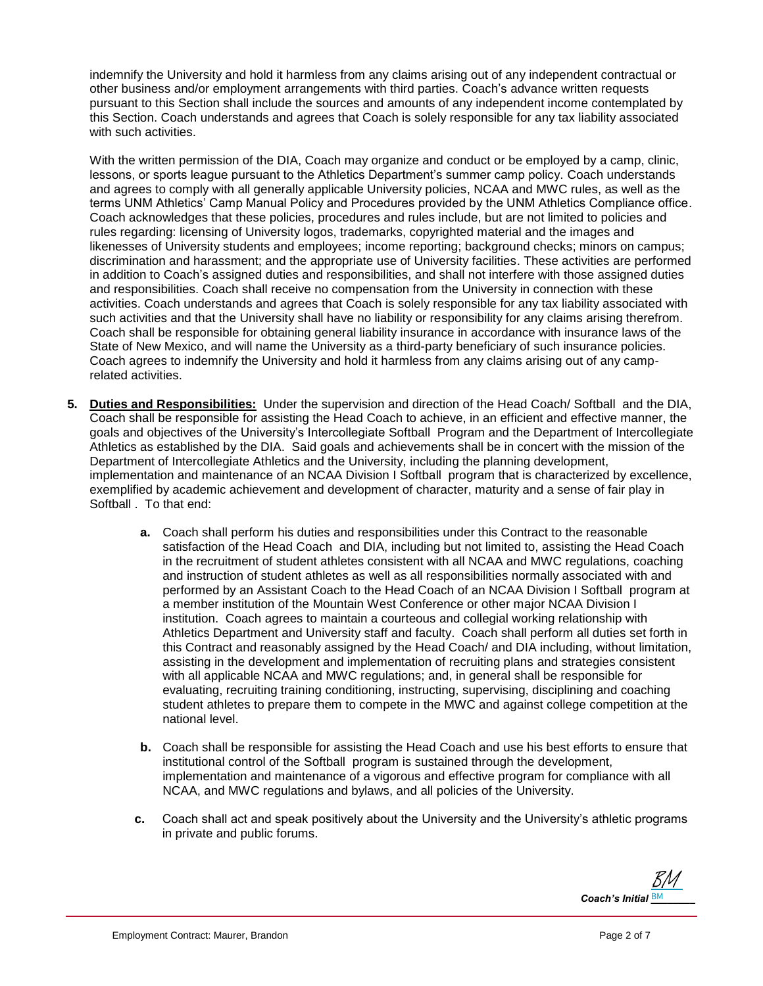indemnify the University and hold it harmless from any claims arising out of any independent contractual or other business and/or employment arrangements with third parties. Coach's advance written requests pursuant to this Section shall include the sources and amounts of any independent income contemplated by this Section. Coach understands and agrees that Coach is solely responsible for any tax liability associated with such activities.

With the written permission of the DIA, Coach may organize and conduct or be employed by a camp, clinic, lessons, or sports league pursuant to the Athletics Department's summer camp policy. Coach understands and agrees to comply with all generally applicable University policies, NCAA and MWC rules, as well as the terms UNM Athletics' Camp Manual Policy and Procedures provided by the UNM Athletics Compliance office. Coach acknowledges that these policies, procedures and rules include, but are not limited to policies and rules regarding: licensing of University logos, trademarks, copyrighted material and the images and likenesses of University students and employees; income reporting; background checks; minors on campus; discrimination and harassment; and the appropriate use of University facilities. These activities are performed in addition to Coach's assigned duties and responsibilities, and shall not interfere with those assigned duties and responsibilities. Coach shall receive no compensation from the University in connection with these activities. Coach understands and agrees that Coach is solely responsible for any tax liability associated with such activities and that the University shall have no liability or responsibility for any claims arising therefrom. Coach shall be responsible for obtaining general liability insurance in accordance with insurance laws of the State of New Mexico, and will name the University as a third-party beneficiary of such insurance policies. Coach agrees to indemnify the University and hold it harmless from any claims arising out of any camprelated activities.

- **5. Duties and Responsibilities:** Under the supervision and direction of the Head Coach/ Softball and the DIA, Coach shall be responsible for assisting the Head Coach to achieve, in an efficient and effective manner, the goals and objectives of the University's Intercollegiate Softball Program and the Department of Intercollegiate Athletics as established by the DIA. Said goals and achievements shall be in concert with the mission of the Department of Intercollegiate Athletics and the University, including the planning development, implementation and maintenance of an NCAA Division I Softball program that is characterized by excellence, exemplified by academic achievement and development of character, maturity and a sense of fair play in Softball . To that end:
	- **a.** Coach shall perform his duties and responsibilities under this Contract to the reasonable satisfaction of the Head Coach and DIA, including but not limited to, assisting the Head Coach in the recruitment of student athletes consistent with all NCAA and MWC regulations, coaching and instruction of student athletes as well as all responsibilities normally associated with and performed by an Assistant Coach to the Head Coach of an NCAA Division I Softball program at a member institution of the Mountain West Conference or other major NCAA Division I institution. Coach agrees to maintain a courteous and collegial working relationship with Athletics Department and University staff and faculty. Coach shall perform all duties set forth in this Contract and reasonably assigned by the Head Coach/ and DIA including, without limitation, assisting in the development and implementation of recruiting plans and strategies consistent with all applicable NCAA and MWC regulations; and, in general shall be responsible for evaluating, recruiting training conditioning, instructing, supervising, disciplining and coaching student athletes to prepare them to compete in the MWC and against college competition at the national level.
	- **b.** Coach shall be responsible for assisting the Head Coach and use his best efforts to ensure that institutional control of the Softball program is sustained through the development, implementation and maintenance of a vigorous and effective program for compliance with all NCAA, and MWC regulations and bylaws, and all policies of the University.
	- **c.** Coach shall act and speak positively about the University and the University's athletic programs in private and public forums.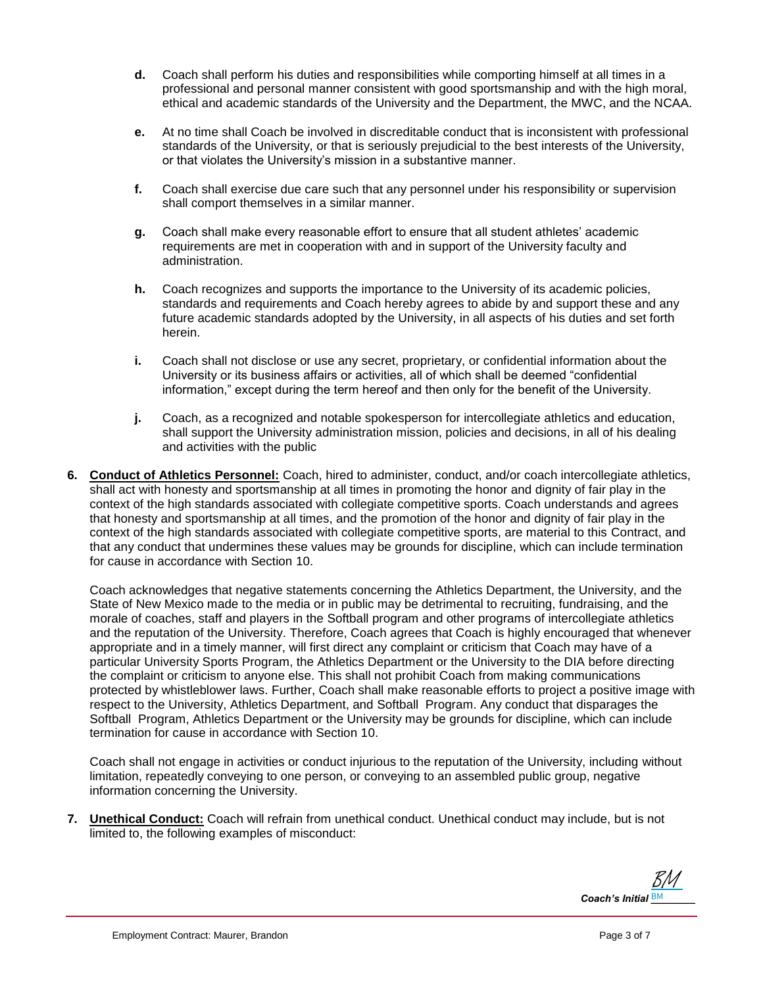- **d.** Coach shall perform his duties and responsibilities while comporting himself at all times in a professional and personal manner consistent with good sportsmanship and with the high moral, ethical and academic standards of the University and the Department, the MWC, and the NCAA.
- **e.** At no time shall Coach be involved in discreditable conduct that is inconsistent with professional standards of the University, or that is seriously prejudicial to the best interests of the University, or that violates the University's mission in a substantive manner.
- **f.** Coach shall exercise due care such that any personnel under his responsibility or supervision shall comport themselves in a similar manner.
- **g.** Coach shall make every reasonable effort to ensure that all student athletes' academic requirements are met in cooperation with and in support of the University faculty and administration.
- **h.** Coach recognizes and supports the importance to the University of its academic policies, standards and requirements and Coach hereby agrees to abide by and support these and any future academic standards adopted by the University, in all aspects of his duties and set forth herein.
- **i.** Coach shall not disclose or use any secret, proprietary, or confidential information about the University or its business affairs or activities, all of which shall be deemed "confidential information," except during the term hereof and then only for the benefit of the University.
- **j.** Coach, as a recognized and notable spokesperson for intercollegiate athletics and education, shall support the University administration mission, policies and decisions, in all of his dealing and activities with the public
- **6. Conduct of Athletics Personnel:** Coach, hired to administer, conduct, and/or coach intercollegiate athletics, shall act with honesty and sportsmanship at all times in promoting the honor and dignity of fair play in the context of the high standards associated with collegiate competitive sports. Coach understands and agrees that honesty and sportsmanship at all times, and the promotion of the honor and dignity of fair play in the context of the high standards associated with collegiate competitive sports, are material to this Contract, and that any conduct that undermines these values may be grounds for discipline, which can include termination for cause in accordance with Section 10.

Coach acknowledges that negative statements concerning the Athletics Department, the University, and the State of New Mexico made to the media or in public may be detrimental to recruiting, fundraising, and the morale of coaches, staff and players in the Softball program and other programs of intercollegiate athletics and the reputation of the University. Therefore, Coach agrees that Coach is highly encouraged that whenever appropriate and in a timely manner, will first direct any complaint or criticism that Coach may have of a particular University Sports Program, the Athletics Department or the University to the DIA before directing the complaint or criticism to anyone else. This shall not prohibit Coach from making communications protected by whistleblower laws. Further, Coach shall make reasonable efforts to project a positive image with respect to the University, Athletics Department, and Softball Program. Any conduct that disparages the Softball Program, Athletics Department or the University may be grounds for discipline, which can include termination for cause in accordance with Section 10.

Coach shall not engage in activities or conduct injurious to the reputation of the University, including without limitation, repeatedly conveying to one person, or conveying to an assembled public group, negative information concerning the University.

**7. Unethical Conduct:** Coach will refrain from unethical conduct. Unethical conduct may include, but is not limited to, the following examples of misconduct:

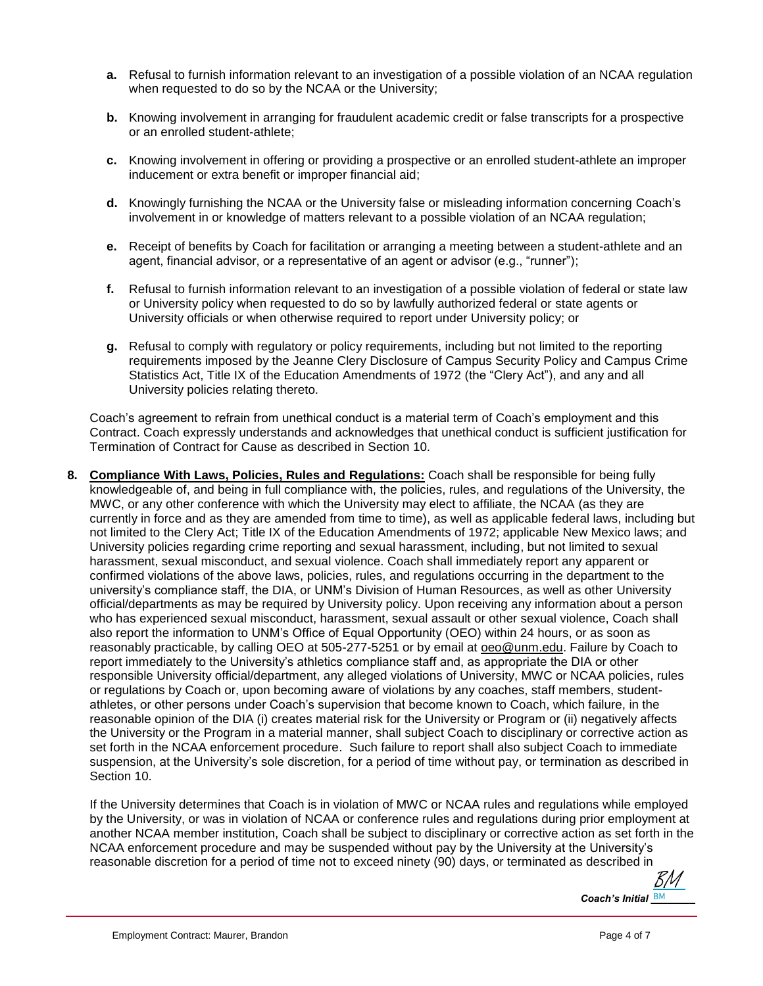- **a.** Refusal to furnish information relevant to an investigation of a possible violation of an NCAA regulation when requested to do so by the NCAA or the University;
- **b.** Knowing involvement in arranging for fraudulent academic credit or false transcripts for a prospective or an enrolled student-athlete;
- **c.** Knowing involvement in offering or providing a prospective or an enrolled student-athlete an improper inducement or extra benefit or improper financial aid;
- **d.** Knowingly furnishing the NCAA or the University false or misleading information concerning Coach's involvement in or knowledge of matters relevant to a possible violation of an NCAA regulation;
- **e.** Receipt of benefits by Coach for facilitation or arranging a meeting between a student-athlete and an agent, financial advisor, or a representative of an agent or advisor (e.g., "runner");
- **f.** Refusal to furnish information relevant to an investigation of a possible violation of federal or state law or University policy when requested to do so by lawfully authorized federal or state agents or University officials or when otherwise required to report under University policy; or
- **g.** Refusal to comply with regulatory or policy requirements, including but not limited to the reporting requirements imposed by the Jeanne Clery Disclosure of Campus Security Policy and Campus Crime Statistics Act, Title IX of the Education Amendments of 1972 (the "Clery Act"), and any and all University policies relating thereto.

Coach's agreement to refrain from unethical conduct is a material term of Coach's employment and this Contract. Coach expressly understands and acknowledges that unethical conduct is sufficient justification for Termination of Contract for Cause as described in Section 10.

**8. Compliance With Laws, Policies, Rules and Regulations:** Coach shall be responsible for being fully knowledgeable of, and being in full compliance with, the policies, rules, and regulations of the University, the MWC, or any other conference with which the University may elect to affiliate, the NCAA (as they are currently in force and as they are amended from time to time), as well as applicable federal laws, including but not limited to the Clery Act; Title IX of the Education Amendments of 1972; applicable New Mexico laws; and University policies regarding crime reporting and sexual harassment, including, but not limited to sexual harassment, sexual misconduct, and sexual violence. Coach shall immediately report any apparent or confirmed violations of the above laws, policies, rules, and regulations occurring in the department to the university's compliance staff, the DIA, or UNM's Division of Human Resources, as well as other University official/departments as may be required by University policy. Upon receiving any information about a person who has experienced sexual misconduct, harassment, sexual assault or other sexual violence, Coach shall also report the information to UNM's Office of Equal Opportunity (OEO) within 24 hours, or as soon as reasonably practicable, by calling OEO at 505-277-5251 or by email at [oeo@unm.edu.](mailto:oeo@unm.edu) Failure by Coach to report immediately to the University's athletics compliance staff and, as appropriate the DIA or other responsible University official/department, any alleged violations of University, MWC or NCAA policies, rules or regulations by Coach or, upon becoming aware of violations by any coaches, staff members, studentathletes, or other persons under Coach's supervision that become known to Coach, which failure, in the reasonable opinion of the DIA (i) creates material risk for the University or Program or (ii) negatively affects the University or the Program in a material manner, shall subject Coach to disciplinary or corrective action as set forth in the NCAA enforcement procedure. Such failure to report shall also subject Coach to immediate suspension, at the University's sole discretion, for a period of time without pay, or termination as described in Section 10.

If the University determines that Coach is in violation of MWC or NCAA rules and regulations while employed by the University, or was in violation of NCAA or conference rules and regulations during prior employment at another NCAA member institution, Coach shall be subject to disciplinary or corrective action as set forth in the NCAA enforcement procedure and may be suspended without pay by the University at the University's reasonable discretion for a period of time not to exceed ninety (90) days, or terminated as described in

Coach's Initial **BM** [BM](https://secure.na2.echosign.com/verifier?tx=CBJCHBCAABAAujbVxXsKPic3TEwNJoDYFM8Z3iI9OIfg)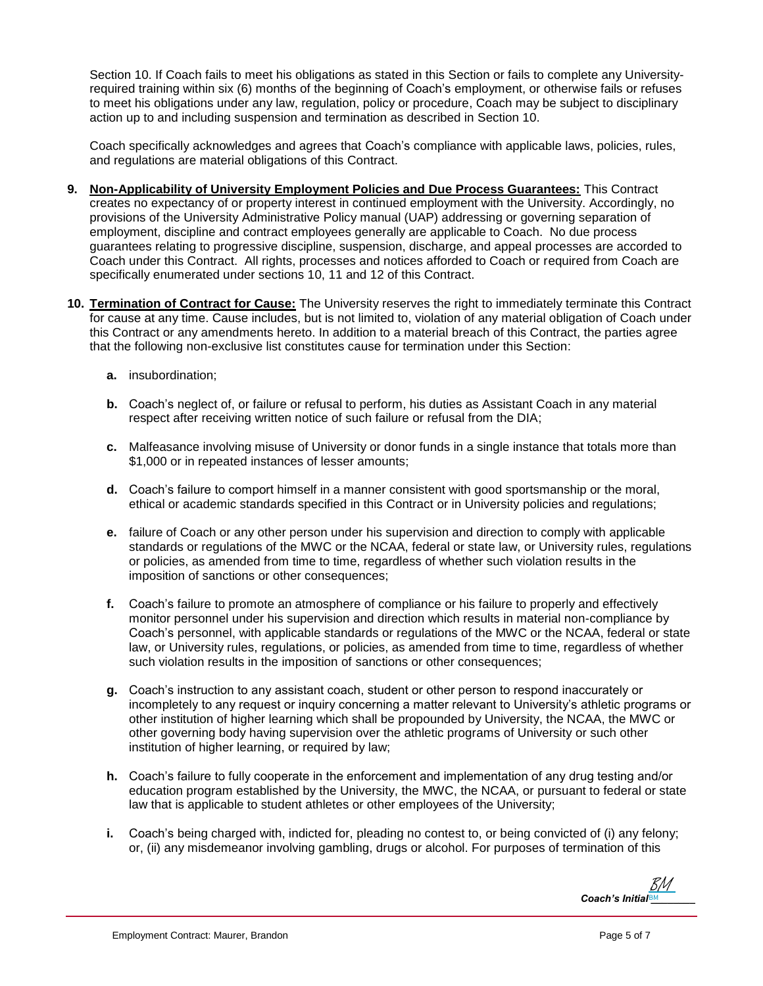Section 10. If Coach fails to meet his obligations as stated in this Section or fails to complete any Universityrequired training within six (6) months of the beginning of Coach's employment, or otherwise fails or refuses to meet his obligations under any law, regulation, policy or procedure, Coach may be subject to disciplinary action up to and including suspension and termination as described in Section 10.

Coach specifically acknowledges and agrees that Coach's compliance with applicable laws, policies, rules, and regulations are material obligations of this Contract.

- **9. Non-Applicability of University Employment Policies and Due Process Guarantees:** This Contract creates no expectancy of or property interest in continued employment with the University. Accordingly, no provisions of the University Administrative Policy manual (UAP) addressing or governing separation of employment, discipline and contract employees generally are applicable to Coach. No due process guarantees relating to progressive discipline, suspension, discharge, and appeal processes are accorded to Coach under this Contract. All rights, processes and notices afforded to Coach or required from Coach are specifically enumerated under sections 10, 11 and 12 of this Contract.
- **10. Termination of Contract for Cause:** The University reserves the right to immediately terminate this Contract for cause at any time. Cause includes, but is not limited to, violation of any material obligation of Coach under this Contract or any amendments hereto. In addition to a material breach of this Contract, the parties agree that the following non-exclusive list constitutes cause for termination under this Section:
	- **a.** insubordination;
	- **b.** Coach's neglect of, or failure or refusal to perform, his duties as Assistant Coach in any material respect after receiving written notice of such failure or refusal from the DIA;
	- **c.** Malfeasance involving misuse of University or donor funds in a single instance that totals more than \$1,000 or in repeated instances of lesser amounts;
	- **d.** Coach's failure to comport himself in a manner consistent with good sportsmanship or the moral, ethical or academic standards specified in this Contract or in University policies and regulations;
	- **e.** failure of Coach or any other person under his supervision and direction to comply with applicable standards or regulations of the MWC or the NCAA, federal or state law, or University rules, regulations or policies, as amended from time to time, regardless of whether such violation results in the imposition of sanctions or other consequences;
	- **f.** Coach's failure to promote an atmosphere of compliance or his failure to properly and effectively monitor personnel under his supervision and direction which results in material non-compliance by Coach's personnel, with applicable standards or regulations of the MWC or the NCAA, federal or state law, or University rules, regulations, or policies, as amended from time to time, regardless of whether such violation results in the imposition of sanctions or other consequences;
	- **g.** Coach's instruction to any assistant coach, student or other person to respond inaccurately or incompletely to any request or inquiry concerning a matter relevant to University's athletic programs or other institution of higher learning which shall be propounded by University, the NCAA, the MWC or other governing body having supervision over the athletic programs of University or such other institution of higher learning, or required by law;
	- **h.** Coach's failure to fully cooperate in the enforcement and implementation of any drug testing and/or education program established by the University, the MWC, the NCAA, or pursuant to federal or state law that is applicable to student athletes or other employees of the University;
	- **i.** Coach's being charged with, indicted for, pleading no contest to, or being convicted of (i) any felony; or, (ii) any misdemeanor involving gambling, drugs or alcohol. For purposes of termination of this

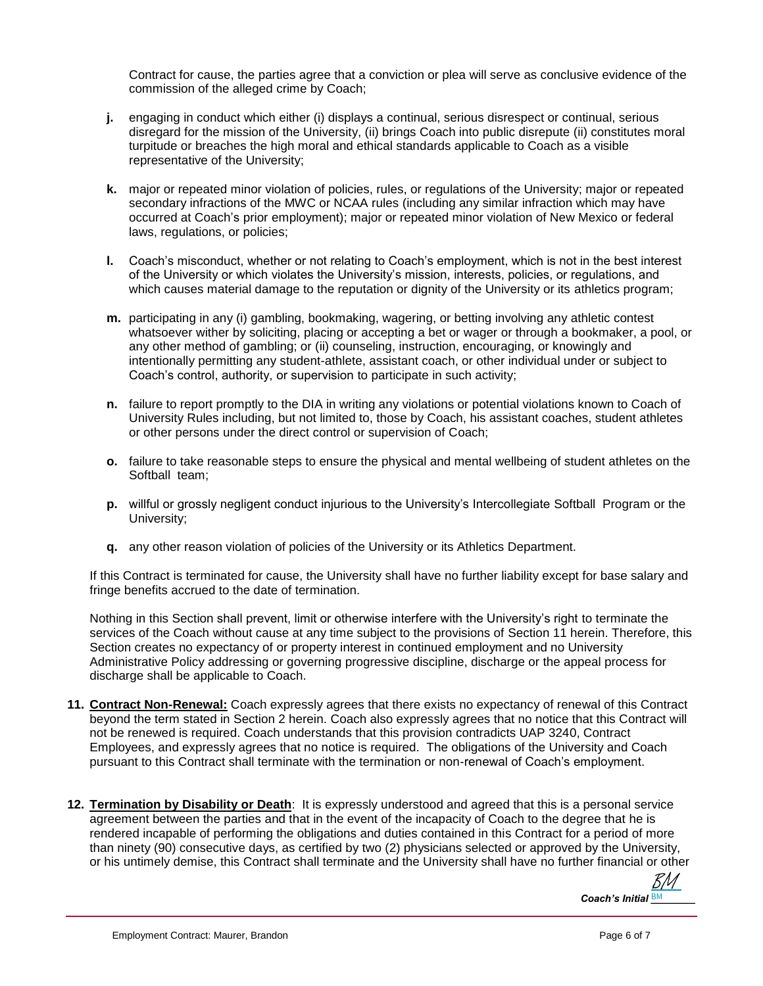Contract for cause, the parties agree that a conviction or plea will serve as conclusive evidence of the commission of the alleged crime by Coach;

- **j.** engaging in conduct which either (i) displays a continual, serious disrespect or continual, serious disregard for the mission of the University, (ii) brings Coach into public disrepute (ii) constitutes moral turpitude or breaches the high moral and ethical standards applicable to Coach as a visible representative of the University;
- **k.** major or repeated minor violation of policies, rules, or regulations of the University; major or repeated secondary infractions of the MWC or NCAA rules (including any similar infraction which may have occurred at Coach's prior employment); major or repeated minor violation of New Mexico or federal laws, regulations, or policies;
- **l.** Coach's misconduct, whether or not relating to Coach's employment, which is not in the best interest of the University or which violates the University's mission, interests, policies, or regulations, and which causes material damage to the reputation or dignity of the University or its athletics program;
- **m.** participating in any (i) gambling, bookmaking, wagering, or betting involving any athletic contest whatsoever wither by soliciting, placing or accepting a bet or wager or through a bookmaker, a pool, or any other method of gambling; or (ii) counseling, instruction, encouraging, or knowingly and intentionally permitting any student-athlete, assistant coach, or other individual under or subject to Coach's control, authority, or supervision to participate in such activity;
- **n.** failure to report promptly to the DIA in writing any violations or potential violations known to Coach of University Rules including, but not limited to, those by Coach, his assistant coaches, student athletes or other persons under the direct control or supervision of Coach;
- **o.** failure to take reasonable steps to ensure the physical and mental wellbeing of student athletes on the Softball team:
- **p.** willful or grossly negligent conduct injurious to the University's Intercollegiate Softball Program or the University;
- **q.** any other reason violation of policies of the University or its Athletics Department.

If this Contract is terminated for cause, the University shall have no further liability except for base salary and fringe benefits accrued to the date of termination.

Nothing in this Section shall prevent, limit or otherwise interfere with the University's right to terminate the services of the Coach without cause at any time subject to the provisions of Section 11 herein. Therefore, this Section creates no expectancy of or property interest in continued employment and no University Administrative Policy addressing or governing progressive discipline, discharge or the appeal process for discharge shall be applicable to Coach.

- **11. Contract Non-Renewal:** Coach expressly agrees that there exists no expectancy of renewal of this Contract beyond the term stated in Section 2 herein. Coach also expressly agrees that no notice that this Contract will not be renewed is required. Coach understands that this provision contradicts UAP 3240, Contract Employees, and expressly agrees that no notice is required. The obligations of the University and Coach pursuant to this Contract shall terminate with the termination or non-renewal of Coach's employment.
- **12. Termination by Disability or Death**: It is expressly understood and agreed that this is a personal service agreement between the parties and that in the event of the incapacity of Coach to the degree that he is rendered incapable of performing the obligations and duties contained in this Contract for a period of more than ninety (90) consecutive days, as certified by two (2) physicians selected or approved by the University, or his untimely demise, this Contract shall terminate and the University shall have no further financial or other

Coach's Initial **BM** [BM](https://secure.na2.echosign.com/verifier?tx=CBJCHBCAABAAujbVxXsKPic3TEwNJoDYFM8Z3iI9OIfg)